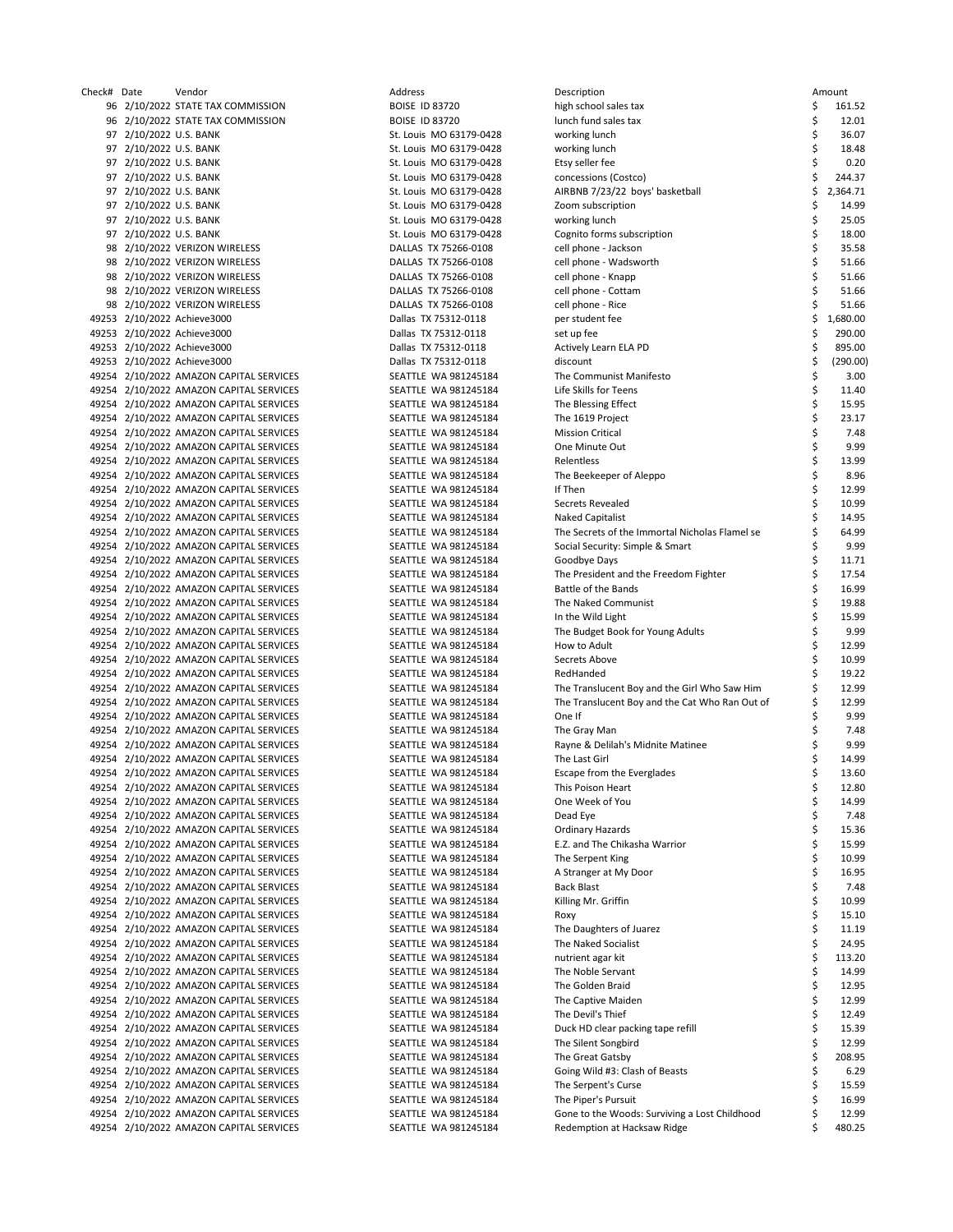| Check# Date |                        | Vendor                                  | Address                 | Description                                    |    | Amount   |
|-------------|------------------------|-----------------------------------------|-------------------------|------------------------------------------------|----|----------|
|             |                        | 96 2/10/2022 STATE TAX COMMISSION       | <b>BOISE ID 83720</b>   | high school sales tax                          | \$ | 161.52   |
|             |                        | 96 2/10/2022 STATE TAX COMMISSION       | <b>BOISE ID 83720</b>   | lunch fund sales tax                           | \$ | 12.01    |
|             | 97 2/10/2022 U.S. BANK |                                         | St. Louis MO 63179-0428 | working lunch                                  | \$ | 36.07    |
|             | 97 2/10/2022 U.S. BANK |                                         | St. Louis MO 63179-0428 | working lunch                                  | \$ | 18.48    |
|             | 97 2/10/2022 U.S. BANK |                                         | St. Louis MO 63179-0428 | Etsy seller fee                                |    | 0.20     |
|             | 97 2/10/2022 U.S. BANK |                                         | St. Louis MO 63179-0428 | concessions (Costco)                           | \$ | 244.37   |
|             | 97 2/10/2022 U.S. BANK |                                         | St. Louis MO 63179-0428 | AIRBNB 7/23/22 boys' basketball                | \$ | 2,364.71 |
|             | 97 2/10/2022 U.S. BANK |                                         | St. Louis MO 63179-0428 | Zoom subscription                              | \$ | 14.99    |
|             | 97 2/10/2022 U.S. BANK |                                         | St. Louis MO 63179-0428 | working lunch                                  | \$ | 25.05    |
|             | 97 2/10/2022 U.S. BANK |                                         | St. Louis MO 63179-0428 | Cognito forms subscription                     | \$ | 18.00    |
|             |                        | 98 2/10/2022 VERIZON WIRELESS           | DALLAS TX 75266-0108    | cell phone - Jackson                           | \$ | 35.58    |
|             |                        | 98 2/10/2022 VERIZON WIRELESS           | DALLAS TX 75266-0108    | cell phone - Wadsworth                         | \$ | 51.66    |
|             |                        | 98 2/10/2022 VERIZON WIRELESS           | DALLAS TX 75266-0108    | cell phone - Knapp                             |    | 51.66    |
|             |                        | 98 2/10/2022 VERIZON WIRELESS           | DALLAS TX 75266-0108    | cell phone - Cottam                            | \$ | 51.66    |
|             |                        | 98 2/10/2022 VERIZON WIRELESS           | DALLAS TX 75266-0108    | cell phone - Rice                              |    | 51.66    |
|             |                        | 49253 2/10/2022 Achieve3000             | Dallas TX 75312-0118    | per student fee                                | Ś  | 1,680.00 |
|             |                        | 49253 2/10/2022 Achieve3000             | Dallas TX 75312-0118    | set up fee                                     |    | 290.00   |
|             |                        | 49253 2/10/2022 Achieve3000             | Dallas TX 75312-0118    | Actively Learn ELA PD                          | Ś  | 895.00   |
|             |                        | 49253 2/10/2022 Achieve3000             | Dallas TX 75312-0118    | discount                                       | \$ | (290.00) |
|             |                        | 49254 2/10/2022 AMAZON CAPITAL SERVICES | SEATTLE WA 981245184    | The Communist Manifesto                        | \$ | 3.00     |
|             |                        | 49254 2/10/2022 AMAZON CAPITAL SERVICES | SEATTLE WA 981245184    | Life Skills for Teens                          | \$ | 11.40    |
|             |                        | 49254 2/10/2022 AMAZON CAPITAL SERVICES | SEATTLE WA 981245184    | The Blessing Effect                            | \$ | 15.95    |
|             |                        | 49254 2/10/2022 AMAZON CAPITAL SERVICES | SEATTLE WA 981245184    | The 1619 Project                               | \$ | 23.17    |
|             |                        | 49254 2/10/2022 AMAZON CAPITAL SERVICES | SEATTLE WA 981245184    | <b>Mission Critical</b>                        | \$ | 7.48     |
|             |                        | 49254 2/10/2022 AMAZON CAPITAL SERVICES | SEATTLE WA 981245184    | One Minute Out                                 | \$ | 9.99     |
|             |                        | 49254 2/10/2022 AMAZON CAPITAL SERVICES | SEATTLE WA 981245184    | Relentless                                     | \$ | 13.99    |
|             |                        | 49254 2/10/2022 AMAZON CAPITAL SERVICES | SEATTLE WA 981245184    | The Beekeeper of Aleppo                        | \$ | 8.96     |
|             |                        | 49254 2/10/2022 AMAZON CAPITAL SERVICES | SEATTLE WA 981245184    | If Then                                        | \$ | 12.99    |
|             |                        | 49254 2/10/2022 AMAZON CAPITAL SERVICES | SEATTLE WA 981245184    | Secrets Revealed                               | \$ | 10.99    |
|             |                        | 49254 2/10/2022 AMAZON CAPITAL SERVICES | SEATTLE WA 981245184    | <b>Naked Capitalist</b>                        | \$ | 14.95    |
|             |                        | 49254 2/10/2022 AMAZON CAPITAL SERVICES | SEATTLE WA 981245184    | The Secrets of the Immortal Nicholas Flamel se | \$ | 64.99    |
|             |                        | 49254 2/10/2022 AMAZON CAPITAL SERVICES | SEATTLE WA 981245184    | Social Security: Simple & Smart                | Ś  | 9.99     |
|             |                        | 49254 2/10/2022 AMAZON CAPITAL SERVICES | SEATTLE WA 981245184    | Goodbye Days                                   | \$ | 11.71    |
|             |                        | 49254 2/10/2022 AMAZON CAPITAL SERVICES | SEATTLE WA 981245184    | The President and the Freedom Fighter          | \$ | 17.54    |
|             |                        | 49254 2/10/2022 AMAZON CAPITAL SERVICES | SEATTLE WA 981245184    | Battle of the Bands                            | \$ | 16.99    |
|             |                        | 49254 2/10/2022 AMAZON CAPITAL SERVICES | SEATTLE WA 981245184    | The Naked Communist                            | \$ | 19.88    |
|             |                        | 49254 2/10/2022 AMAZON CAPITAL SERVICES | SEATTLE WA 981245184    | In the Wild Light                              | \$ | 15.99    |
|             |                        | 49254 2/10/2022 AMAZON CAPITAL SERVICES | SEATTLE WA 981245184    | The Budget Book for Young Adults               | Ś  | 9.99     |
|             |                        | 49254 2/10/2022 AMAZON CAPITAL SERVICES | SEATTLE WA 981245184    | How to Adult                                   | \$ | 12.99    |
|             |                        | 49254 2/10/2022 AMAZON CAPITAL SERVICES | SEATTLE WA 981245184    | Secrets Above                                  |    | 10.99    |
|             |                        | 49254 2/10/2022 AMAZON CAPITAL SERVICES | SEATTLE WA 981245184    | RedHanded                                      |    | 19.22    |
|             |                        | 49254 2/10/2022 AMAZON CAPITAL SERVICES | SEATTLE WA 981245184    | The Translucent Boy and the Girl Who Saw Him   |    | 12.99    |
|             |                        | 49254 2/10/2022 AMAZON CAPITAL SERVICES | SEATTLE WA 981245184    | The Translucent Boy and the Cat Who Ran Out of | \$ | 12.99    |
|             |                        | 49254 2/10/2022 AMAZON CAPITAL SERVICES | SEATTLE WA 981245184    | One If                                         | Ś  | 9.99     |
|             |                        | 49254 2/10/2022 AMAZON CAPITAL SERVICES | SEATTLE WA 981245184    | The Gray Man                                   | Ś  | 7.48     |
|             |                        | 49254 2/10/2022 AMAZON CAPITAL SERVICES | SEATTLE WA 981245184    | Rayne & Delilah's Midnite Matinee              | \$ | 9.99     |
|             |                        | 49254 2/10/2022 AMAZON CAPITAL SERVICES | SEATTLE WA 981245184    | The Last Girl                                  | \$ | 14.99    |
|             |                        | 49254 2/10/2022 AMAZON CAPITAL SERVICES | SEATTLE WA 981245184    | <b>Escape from the Everglades</b>              | \$ | 13.60    |
|             |                        | 49254 2/10/2022 AMAZON CAPITAL SERVICES | SEATTLE WA 981245184    | This Poison Heart                              | \$ | 12.80    |
|             |                        | 49254 2/10/2022 AMAZON CAPITAL SERVICES | SEATTLE WA 981245184    | One Week of You                                | \$ | 14.99    |
|             |                        | 49254 2/10/2022 AMAZON CAPITAL SERVICES | SEATTLE WA 981245184    | Dead Eye                                       | \$ | 7.48     |
|             |                        | 49254 2/10/2022 AMAZON CAPITAL SERVICES | SEATTLE WA 981245184    | Ordinary Hazards                               | \$ | 15.36    |
|             |                        | 49254 2/10/2022 AMAZON CAPITAL SERVICES | SEATTLE WA 981245184    | E.Z. and The Chikasha Warrior                  | \$ | 15.99    |
|             |                        | 49254 2/10/2022 AMAZON CAPITAL SERVICES | SEATTLE WA 981245184    | The Serpent King                               | \$ | 10.99    |
|             |                        | 49254 2/10/2022 AMAZON CAPITAL SERVICES | SEATTLE WA 981245184    | A Stranger at My Door                          | \$ | 16.95    |
|             |                        | 49254 2/10/2022 AMAZON CAPITAL SERVICES | SEATTLE WA 981245184    | Back Blast                                     | \$ | 7.48     |
|             |                        | 49254 2/10/2022 AMAZON CAPITAL SERVICES | SEATTLE WA 981245184    | Killing Mr. Griffin                            | \$ | 10.99    |
|             |                        | 49254 2/10/2022 AMAZON CAPITAL SERVICES | SEATTLE WA 981245184    | Roxy                                           | \$ | 15.10    |
|             |                        | 49254 2/10/2022 AMAZON CAPITAL SERVICES | SEATTLE WA 981245184    | The Daughters of Juarez                        | \$ | 11.19    |
|             |                        | 49254 2/10/2022 AMAZON CAPITAL SERVICES | SEATTLE WA 981245184    | The Naked Socialist                            | \$ | 24.95    |
|             |                        | 49254 2/10/2022 AMAZON CAPITAL SERVICES | SEATTLE WA 981245184    | nutrient agar kit                              | \$ | 113.20   |
|             |                        | 49254 2/10/2022 AMAZON CAPITAL SERVICES | SEATTLE WA 981245184    | The Noble Servant                              | \$ | 14.99    |
|             |                        | 49254 2/10/2022 AMAZON CAPITAL SERVICES | SEATTLE WA 981245184    | The Golden Braid                               | \$ | 12.95    |
|             |                        | 49254 2/10/2022 AMAZON CAPITAL SERVICES | SEATTLE WA 981245184    | The Captive Maiden                             | \$ | 12.99    |
|             |                        | 49254 2/10/2022 AMAZON CAPITAL SERVICES | SEATTLE WA 981245184    | The Devil's Thief                              | \$ | 12.49    |
|             |                        | 49254 2/10/2022 AMAZON CAPITAL SERVICES | SEATTLE WA 981245184    | Duck HD clear packing tape refill              | \$ | 15.39    |
|             |                        | 49254 2/10/2022 AMAZON CAPITAL SERVICES | SEATTLE WA 981245184    | The Silent Songbird                            | \$ | 12.99    |
|             |                        | 49254 2/10/2022 AMAZON CAPITAL SERVICES | SEATTLE WA 981245184    | The Great Gatsby                               | \$ | 208.95   |
|             |                        | 49254 2/10/2022 AMAZON CAPITAL SERVICES | SEATTLE WA 981245184    | Going Wild #3: Clash of Beasts                 | \$ | 6.29     |
|             |                        | 49254 2/10/2022 AMAZON CAPITAL SERVICES | SEATTLE WA 981245184    | The Serpent's Curse                            | \$ | 15.59    |
|             |                        | 49254 2/10/2022 AMAZON CAPITAL SERVICES | SEATTLE WA 981245184    | The Piper's Pursuit                            | \$ | 16.99    |
|             |                        | 49254 2/10/2022 AMAZON CAPITAL SERVICES | SEATTLE WA 981245184    | Gone to the Woods: Surviving a Lost Childhood  | \$ | 12.99    |
|             |                        | 49254 2/10/2022 AMAZON CAPITAL SERVICES | SEATTLE WA 981245184    | Redemption at Hacksaw Ridge                    | \$ | 480.25   |
|             |                        |                                         |                         |                                                |    |          |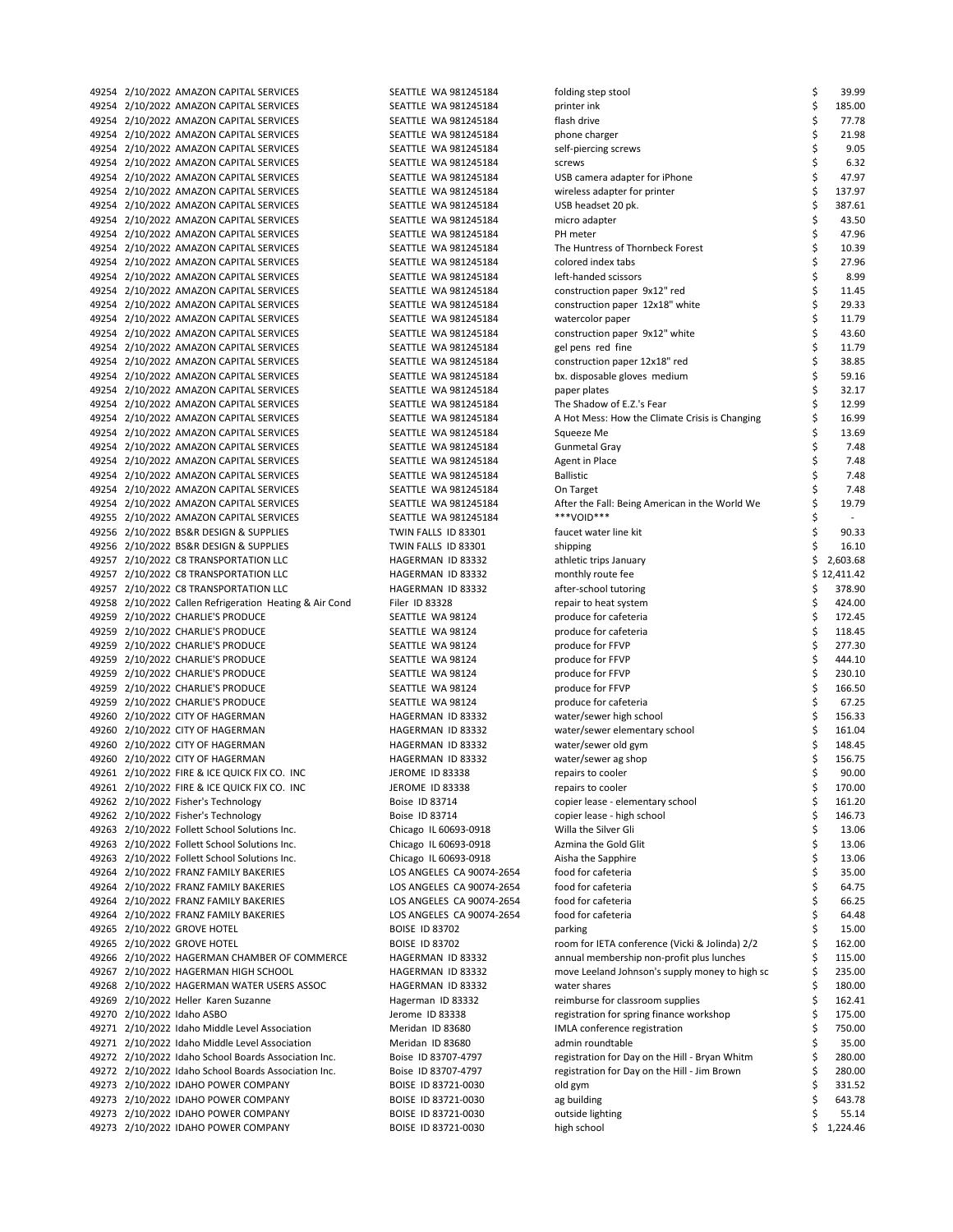| 49254 2/10/2022 AMAZON CAPITAL SERVICES                 | SEATTLE WA 981245184      | folding step stool                             | \$<br>39.99    |
|---------------------------------------------------------|---------------------------|------------------------------------------------|----------------|
| 49254 2/10/2022 AMAZON CAPITAL SERVICES                 | SEATTLE WA 981245184      | printer ink                                    | \$<br>185.00   |
| 49254 2/10/2022 AMAZON CAPITAL SERVICES                 | SEATTLE WA 981245184      | flash drive                                    | \$<br>77.78    |
| 49254 2/10/2022 AMAZON CAPITAL SERVICES                 | SEATTLE WA 981245184      | phone charger                                  | \$<br>21.98    |
|                                                         |                           |                                                |                |
| 49254 2/10/2022 AMAZON CAPITAL SERVICES                 | SEATTLE WA 981245184      | self-piercing screws                           | \$<br>9.05     |
| 49254 2/10/2022 AMAZON CAPITAL SERVICES                 | SEATTLE WA 981245184      | screws                                         | \$<br>6.32     |
| 49254 2/10/2022 AMAZON CAPITAL SERVICES                 | SEATTLE WA 981245184      | USB camera adapter for iPhone                  | \$<br>47.97    |
| 49254 2/10/2022 AMAZON CAPITAL SERVICES                 | SEATTLE WA 981245184      | wireless adapter for printer                   | \$<br>137.97   |
| 49254 2/10/2022 AMAZON CAPITAL SERVICES                 | SEATTLE WA 981245184      | USB headset 20 pk.                             | \$<br>387.61   |
| 49254 2/10/2022 AMAZON CAPITAL SERVICES                 | SEATTLE WA 981245184      | micro adapter                                  | \$<br>43.50    |
|                                                         | SEATTLE WA 981245184      | PH meter                                       | \$<br>47.96    |
| 49254 2/10/2022 AMAZON CAPITAL SERVICES                 |                           |                                                |                |
| 49254 2/10/2022 AMAZON CAPITAL SERVICES                 | SEATTLE WA 981245184      | The Huntress of Thornbeck Forest               | \$<br>10.39    |
| 49254 2/10/2022 AMAZON CAPITAL SERVICES                 | SEATTLE WA 981245184      | colored index tabs                             | \$<br>27.96    |
| 49254 2/10/2022 AMAZON CAPITAL SERVICES                 | SEATTLE WA 981245184      | left-handed scissors                           | \$<br>8.99     |
| 49254 2/10/2022 AMAZON CAPITAL SERVICES                 | SEATTLE WA 981245184      | construction paper 9x12" red                   | \$<br>11.45    |
| 49254 2/10/2022 AMAZON CAPITAL SERVICES                 | SEATTLE WA 981245184      | construction paper 12x18" white                | \$<br>29.33    |
| 49254 2/10/2022 AMAZON CAPITAL SERVICES                 | SEATTLE WA 981245184      | watercolor paper                               | \$<br>11.79    |
|                                                         |                           |                                                |                |
| 49254 2/10/2022 AMAZON CAPITAL SERVICES                 | SEATTLE WA 981245184      | construction paper 9x12" white                 | \$<br>43.60    |
| 49254 2/10/2022 AMAZON CAPITAL SERVICES                 | SEATTLE WA 981245184      | gel pens red fine                              | \$<br>11.79    |
| 49254 2/10/2022 AMAZON CAPITAL SERVICES                 | SEATTLE WA 981245184      | construction paper 12x18" red                  | \$<br>38.85    |
| 49254 2/10/2022 AMAZON CAPITAL SERVICES                 | SEATTLE WA 981245184      | bx. disposable gloves medium                   | \$<br>59.16    |
| 49254 2/10/2022 AMAZON CAPITAL SERVICES                 | SEATTLE WA 981245184      | paper plates                                   | \$<br>32.17    |
| 49254 2/10/2022 AMAZON CAPITAL SERVICES                 | SEATTLE WA 981245184      | The Shadow of E.Z.'s Fear                      | \$<br>12.99    |
| 49254 2/10/2022 AMAZON CAPITAL SERVICES                 | SEATTLE WA 981245184      | A Hot Mess: How the Climate Crisis is Changing | \$<br>16.99    |
|                                                         |                           |                                                |                |
| 49254 2/10/2022 AMAZON CAPITAL SERVICES                 | SEATTLE WA 981245184      | Squeeze Me                                     | \$<br>13.69    |
| 49254 2/10/2022 AMAZON CAPITAL SERVICES                 | SEATTLE WA 981245184      | Gunmetal Gray                                  | \$<br>7.48     |
| 49254 2/10/2022 AMAZON CAPITAL SERVICES                 | SEATTLE WA 981245184      | Agent in Place                                 | \$<br>7.48     |
| 49254 2/10/2022 AMAZON CAPITAL SERVICES                 | SEATTLE WA 981245184      | <b>Ballistic</b>                               | \$<br>7.48     |
| 49254 2/10/2022 AMAZON CAPITAL SERVICES                 | SEATTLE WA 981245184      | On Target                                      | \$<br>7.48     |
| 49254 2/10/2022 AMAZON CAPITAL SERVICES                 | SEATTLE WA 981245184      | After the Fall: Being American in the World We | \$<br>19.79    |
|                                                         |                           | ***VOID***                                     |                |
| 49255 2/10/2022 AMAZON CAPITAL SERVICES                 | SEATTLE WA 981245184      |                                                | \$             |
| 49256 2/10/2022 BS&R DESIGN & SUPPLIES                  | TWIN FALLS ID 83301       | faucet water line kit                          | \$<br>90.33    |
| 49256 2/10/2022 BS&R DESIGN & SUPPLIES                  | TWIN FALLS ID 83301       | shipping                                       | \$<br>16.10    |
| 49257 2/10/2022 C8 TRANSPORTATION LLC                   | HAGERMAN ID 83332         | athletic trips January                         | \$<br>2,603.68 |
| 49257 2/10/2022 C8 TRANSPORTATION LLC                   | HAGERMAN ID 83332         | monthly route fee                              | \$12,411.42    |
| 49257 2/10/2022 C8 TRANSPORTATION LLC                   | HAGERMAN ID 83332         | after-school tutoring                          | \$<br>378.90   |
|                                                         | Filer ID 83328            |                                                | \$<br>424.00   |
| 49258 2/10/2022 Callen Refrigeration Heating & Air Cond |                           | repair to heat system                          |                |
| 49259 2/10/2022 CHARLIE'S PRODUCE                       | SEATTLE WA 98124          | produce for cafeteria                          | \$<br>172.45   |
| 49259 2/10/2022 CHARLIE'S PRODUCE                       | SEATTLE WA 98124          | produce for cafeteria                          | \$<br>118.45   |
| 49259 2/10/2022 CHARLIE'S PRODUCE                       | SEATTLE WA 98124          | produce for FFVP                               | \$<br>277.30   |
| 49259 2/10/2022 CHARLIE'S PRODUCE                       | SEATTLE WA 98124          | produce for FFVP                               | \$<br>444.10   |
| 49259 2/10/2022 CHARLIE'S PRODUCE                       | SEATTLE WA 98124          | produce for FFVP                               | \$<br>230.10   |
| 49259 2/10/2022 CHARLIE'S PRODUCE                       | SEATTLE WA 98124          | produce for FFVP                               | \$<br>166.50   |
|                                                         |                           |                                                |                |
| 49259 2/10/2022 CHARLIE'S PRODUCE                       | SEATTLE WA 98124          | produce for cafeteria                          | \$<br>67.25    |
| 49260 2/10/2022 CITY OF HAGERMAN                        | HAGERMAN ID 83332         | water/sewer high school                        | \$<br>156.33   |
| 49260 2/10/2022 CITY OF HAGERMAN                        | HAGERMAN ID 83332         | water/sewer elementary school                  | \$<br>161.04   |
| 49260 2/10/2022 CITY OF HAGERMAN                        | HAGERMAN ID 83332         | water/sewer old gym                            | \$<br>148.45   |
| 49260 2/10/2022 CITY OF HAGERMAN                        | HAGERMAN ID 83332         | water/sewer ag shop                            | \$<br>156.75   |
| 49261 2/10/2022 FIRE & ICE QUICK FIX CO. INC            | <b>JEROME ID 83338</b>    | repairs to cooler                              | Ś<br>90.00     |
|                                                         |                           |                                                |                |
| 49261 2/10/2022 FIRE & ICE QUICK FIX CO. INC            | JEROME ID 83338           | repairs to cooler                              | \$<br>170.00   |
| 49262 2/10/2022 Fisher's Technology                     | Boise ID 83714            | copier lease - elementary school               | \$<br>161.20   |
| 49262 2/10/2022 Fisher's Technology                     | Boise ID 83714            | copier lease - high school                     | \$<br>146.73   |
| 49263 2/10/2022 Follett School Solutions Inc.           | Chicago IL 60693-0918     | Willa the Silver Gli                           | \$<br>13.06    |
| 49263 2/10/2022 Follett School Solutions Inc.           | Chicago IL 60693-0918     | Azmina the Gold Glit                           | \$<br>13.06    |
| 49263 2/10/2022 Follett School Solutions Inc.           | Chicago IL 60693-0918     | Aisha the Sapphire                             | \$<br>13.06    |
| 49264 2/10/2022 FRANZ FAMILY BAKERIES                   | LOS ANGELES CA 90074-2654 | food for cafeteria                             | \$<br>35.00    |
|                                                         |                           |                                                |                |
| 49264 2/10/2022 FRANZ FAMILY BAKERIES                   | LOS ANGELES CA 90074-2654 | food for cafeteria                             | \$<br>64.75    |
| 49264 2/10/2022 FRANZ FAMILY BAKERIES                   | LOS ANGELES CA 90074-2654 | food for cafeteria                             | \$<br>66.25    |
| 49264 2/10/2022 FRANZ FAMILY BAKERIES                   | LOS ANGELES CA 90074-2654 | food for cafeteria                             | \$<br>64.48    |
| 49265 2/10/2022 GROVE HOTEL                             | <b>BOISE ID 83702</b>     | parking                                        | \$<br>15.00    |
| 49265 2/10/2022 GROVE HOTEL                             | <b>BOISE ID 83702</b>     | room for IETA conference (Vicki & Jolinda) 2/2 | Ś<br>162.00    |
| 49266 2/10/2022 HAGERMAN CHAMBER OF COMMERCE            | HAGERMAN ID 83332         | annual membership non-profit plus lunches      | \$<br>115.00   |
|                                                         |                           |                                                |                |
| 49267 2/10/2022 HAGERMAN HIGH SCHOOL                    | HAGERMAN ID 83332         | move Leeland Johnson's supply money to high sc | \$<br>235.00   |
| 49268 2/10/2022 HAGERMAN WATER USERS ASSOC              | HAGERMAN ID 83332         | water shares                                   | 180.00<br>Ś    |
| 49269 2/10/2022 Heller Karen Suzanne                    | Hagerman ID 83332         | reimburse for classroom supplies               | Ś<br>162.41    |
| 49270 2/10/2022 Idaho ASBO                              | Jerome ID 83338           | registration for spring finance workshop       | \$<br>175.00   |
| 49271 2/10/2022 Idaho Middle Level Association          | Meridan ID 83680          | IMLA conference registration                   | Ś<br>750.00    |
| 49271 2/10/2022 Idaho Middle Level Association          | Meridan ID 83680          | admin roundtable                               | \$<br>35.00    |
|                                                         |                           | registration for Day on the Hill - Bryan Whitm | Ś<br>280.00    |
| 49272 2/10/2022 Idaho School Boards Association Inc.    | Boise ID 83707-4797       |                                                |                |
| 49272 2/10/2022 Idaho School Boards Association Inc.    | Boise ID 83707-4797       | registration for Day on the Hill - Jim Brown   | Ś<br>280.00    |
| 49273 2/10/2022 IDAHO POWER COMPANY                     | BOISE ID 83721-0030       | old gym                                        | Ś<br>331.52    |
| 49273 2/10/2022 IDAHO POWER COMPANY                     | BOISE ID 83721-0030       | ag building                                    | \$<br>643.78   |
| 49273 2/10/2022 IDAHO POWER COMPANY                     | BOISE ID 83721-0030       | outside lighting                               | \$<br>55.14    |
| 49273 2/10/2022 IDAHO POWER COMPANY                     | BOISE ID 83721-0030       | high school                                    | \$<br>1,224.46 |
|                                                         |                           |                                                |                |

| folding step stool                                 | \$       | 39.99            |
|----------------------------------------------------|----------|------------------|
| printer ink                                        | \$       | 185.00           |
| flash drive                                        | \$       | 77.78            |
| phone charger                                      | \$       | 21.98            |
| self-piercing screws<br>screws                     | \$<br>\$ | 9.05<br>6.32     |
| USB camera adapter for iPhone                      | \$       | 47.97            |
| wireless adapter for printer                       | \$       | 137.97           |
| USB headset 20 pk.                                 | \$       | 387.61           |
| micro adapter                                      | \$       | 43.50            |
| PH meter                                           | \$       | 47.96            |
| The Huntress of Thornbeck Forest                   | \$       | 10.39            |
| colored index tabs                                 | \$<br>\$ | 27.96            |
| left-handed scissors                               |          | 8.99             |
| construction paper 9x12" red                       | \$       | 11.45            |
| construction paper 12x18" white                    | \$       | 29.33            |
| watercolor paper                                   | \$<br>\$ | 11.79<br>43.60   |
| construction paper 9x12" white                     | \$       | 11.79            |
| gel pens red fine<br>construction paper 12x18" red | \$       | 38.85            |
| bx. disposable gloves medium                       | \$       | 59.16            |
| paper plates                                       | \$       | 32.17            |
| The Shadow of E.Z.'s Fear                          | \$       | 12.99            |
| A Hot Mess: How the Climate Crisis is Changing     |          | 16.99            |
| Squeeze Me                                         | \$<br>\$ | 13.69            |
| <b>Gunmetal Gray</b>                               | \$       | 7.48             |
| <b>Agent in Place</b>                              | \$       | 7.48             |
| <b>Ballistic</b>                                   | \$       | 7.48             |
| On Target                                          | \$       | 7.48             |
| After the Fall: Being American in the World We     | \$       | 19.79            |
| ***VOID***                                         | \$       | $\overline{a}$   |
| faucet water line kit                              | \$       | 90.33            |
| shipping                                           | \$       | 16.10            |
| athletic trips January                             | \$       | 2,603.68         |
| monthly route fee                                  | \$       | \$12,411.42      |
| after-school tutoring<br>repair to heat system     | \$       | 378.90<br>424.00 |
| produce for cafeteria                              | \$       | 172.45           |
| produce for cafeteria                              | \$       | 118.45           |
| produce for FFVP                                   | \$       | 277.30           |
| produce for FFVP                                   | \$       | 444.10           |
| produce for FFVP                                   | \$       | 230.10           |
| produce for FFVP                                   | \$       | 166.50           |
| produce for cafeteria                              | \$       | 67.25            |
| water/sewer high school                            | \$       | 156.33           |
| water/sewer elementary school                      | \$       | 161.04           |
| water/sewer old gym                                | \$       | 148.45           |
| water/sewer ag shop                                | \$       | 156.75           |
| repairs to cooler                                  | \$       | 90.00            |
| repairs to cooler                                  | \$       | 170.00           |
| copier lease - elementary school                   | \$       | 161.20           |
| copier lease - high school<br>Willa the Silver Gli | \$<br>\$ | 146.73<br>13.06  |
| Azmina the Gold Glit                               | \$       | 13.06            |
| Aisha the Sapphire                                 | \$       | 13.06            |
| food for cafeteria                                 |          | 35.00            |
| food for cafeteria                                 |          | 64.75            |
| food for cafeteria                                 | やなみ      | 66.25            |
| food for cafeteria                                 |          | 64.48            |
| parking                                            |          | 15.00            |
| room for IETA conference (Vicki & Jolinda) 2/2     | \$       | 162.00           |
| annual membership non-profit plus lunches          | \$       | 115.00           |
| move Leeland Johnson's supply money to high sc     | \$       | 235.00           |
| water shares                                       | \$       | 180.00           |
| reimburse for classroom supplies                   | \$       | 162.41           |
| registration for spring finance workshop           | \$       | 175.00           |
| IMLA conference registration<br>admin roundtable   | \$<br>\$ | 750.00<br>35.00  |
| registration for Day on the Hill - Bryan Whitm     | \$       | 280.00           |
| registration for Day on the Hill - Jim Brown       | \$       | 280.00           |
| old gym                                            | \$       | 331.52           |
| ag building                                        | \$       | 643.78           |
| outside lighting                                   | \$       | 55.14            |
| high school                                        | \$       | 1,224.46         |
|                                                    |          |                  |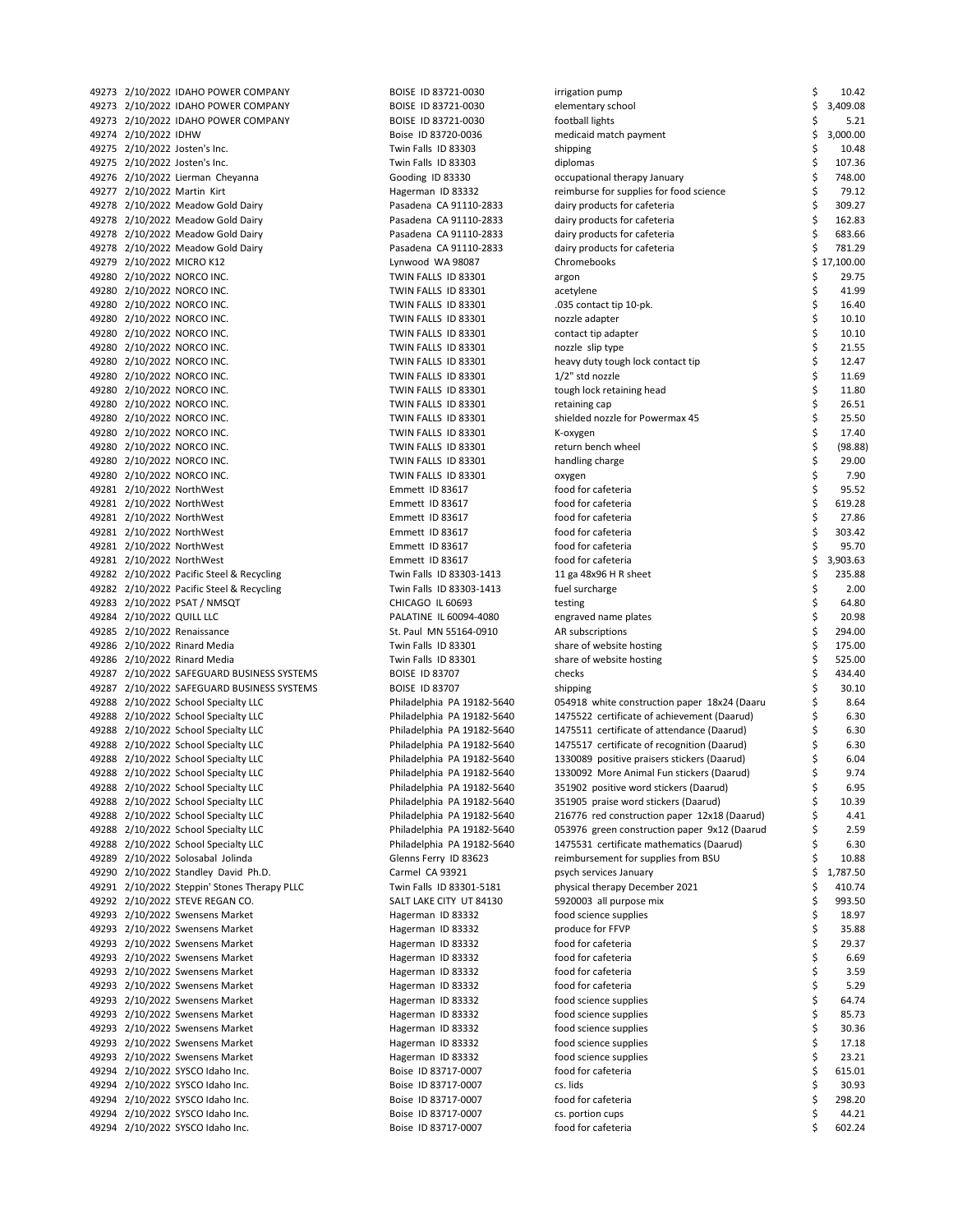| 49273 2/10/2022 IDAHO POWER COMPANY          | BOISE ID 83721-0030        | irrigation pump                              | \$<br>10.42    |
|----------------------------------------------|----------------------------|----------------------------------------------|----------------|
| 49273 2/10/2022 IDAHO POWER COMPANY          | BOISE ID 83721-0030        | elementary school                            | \$<br>3,409.08 |
| 49273 2/10/2022 IDAHO POWER COMPANY          | BOISE ID 83721-0030        | football lights                              | \$<br>5.21     |
| 49274 2/10/2022 IDHW                         | Boise ID 83720-0036        | medicaid match payment                       | \$<br>3,000.00 |
| 49275 2/10/2022 Josten's Inc.                | Twin Falls ID 83303        | shipping                                     | \$<br>10.48    |
| 49275 2/10/2022 Josten's Inc.                | Twin Falls ID 83303        | diplomas                                     | \$<br>107.36   |
| 49276 2/10/2022 Lierman Cheyanna             | Gooding ID 83330           | occupational therapy January                 | \$<br>748.00   |
| 49277 2/10/2022 Martin Kirt                  | Hagerman ID 83332          | reimburse for supplies for food science      | \$<br>79.12    |
| 49278 2/10/2022 Meadow Gold Dairy            | Pasadena CA 91110-2833     | dairy products for cafeteria                 | \$<br>309.27   |
| 49278 2/10/2022 Meadow Gold Dairy            | Pasadena CA 91110-2833     | dairy products for cafeteria                 | \$<br>162.83   |
| 49278 2/10/2022 Meadow Gold Dairy            | Pasadena CA 91110-2833     | dairy products for cafeteria                 | \$<br>683.66   |
| 49278 2/10/2022 Meadow Gold Dairy            | Pasadena CA 91110-2833     | dairy products for cafeteria                 | \$<br>781.29   |
| 49279 2/10/2022 MICRO K12                    | Lynwood WA 98087           | Chromebooks                                  | \$17,100.00    |
| 49280 2/10/2022 NORCO INC.                   | TWIN FALLS ID 83301        | argon                                        | \$<br>29.75    |
| 49280 2/10/2022 NORCO INC.                   | TWIN FALLS ID 83301        | acetylene                                    | \$<br>41.99    |
| 49280 2/10/2022 NORCO INC.                   | TWIN FALLS ID 83301        | .035 contact tip 10-pk.                      | \$<br>16.40    |
| 49280 2/10/2022 NORCO INC.                   | TWIN FALLS ID 83301        | nozzle adapter                               | \$<br>10.10    |
| 49280 2/10/2022 NORCO INC.                   | TWIN FALLS ID 83301        | contact tip adapter                          | \$<br>10.10    |
| 49280 2/10/2022 NORCO INC.                   | TWIN FALLS ID 83301        | nozzle slip type                             | \$<br>21.55    |
| 49280 2/10/2022 NORCO INC.                   | TWIN FALLS ID 83301        | heavy duty tough lock contact tip            | \$<br>12.47    |
| 49280 2/10/2022 NORCO INC.                   | TWIN FALLS ID 83301        | $1/2$ " std nozzle                           | \$<br>11.69    |
| 49280 2/10/2022 NORCO INC.                   | TWIN FALLS ID 83301        | tough lock retaining head                    | \$<br>11.80    |
| 49280 2/10/2022 NORCO INC.                   | TWIN FALLS ID 83301        | retaining cap                                | \$<br>26.51    |
| 49280 2/10/2022 NORCO INC.                   | TWIN FALLS ID 83301        | shielded nozzle for Powermax 45              | \$<br>25.50    |
| 49280 2/10/2022 NORCO INC.                   | TWIN FALLS ID 83301        | K-oxygen                                     | \$<br>17.40    |
| 49280 2/10/2022 NORCO INC.                   | TWIN FALLS ID 83301        | return bench wheel                           | \$<br>(98.88)  |
| 49280 2/10/2022 NORCO INC.                   | TWIN FALLS ID 83301        | handling charge                              | \$<br>29.00    |
| 49280 2/10/2022 NORCO INC.                   | TWIN FALLS ID 83301        | oxygen                                       | \$<br>7.90     |
| 49281 2/10/2022 NorthWest                    | Emmett ID 83617            | food for cafeteria                           | \$<br>95.52    |
| 49281 2/10/2022 NorthWest                    | Emmett ID 83617            | food for cafeteria                           | \$<br>619.28   |
| 49281 2/10/2022 NorthWest                    | Emmett ID 83617            | food for cafeteria                           | \$<br>27.86    |
| 49281 2/10/2022 NorthWest                    | Emmett ID 83617            | food for cafeteria                           | \$<br>303.42   |
| 49281 2/10/2022 NorthWest                    | Emmett ID 83617            | food for cafeteria                           | \$<br>95.70    |
| 49281 2/10/2022 NorthWest                    | Emmett ID 83617            | food for cafeteria                           | \$<br>3,903.63 |
| 49282 2/10/2022 Pacific Steel & Recycling    | Twin Falls ID 83303-1413   | 11 ga 48x96 H R sheet                        | \$<br>235.88   |
| 49282 2/10/2022 Pacific Steel & Recycling    | Twin Falls ID 83303-1413   | fuel surcharge                               | \$<br>2.00     |
| 49283 2/10/2022 PSAT / NMSQT                 | CHICAGO IL 60693           | testing                                      | \$<br>64.80    |
| 49284 2/10/2022 QUILL LLC                    | PALATINE IL 60094-4080     | engraved name plates                         | \$<br>20.98    |
| 49285 2/10/2022 Renaissance                  | St. Paul MN 55164-0910     | AR subscriptions                             | \$<br>294.00   |
| 49286 2/10/2022 Rinard Media                 | Twin Falls ID 83301        | share of website hosting                     | \$<br>175.00   |
| 49286 2/10/2022 Rinard Media                 | Twin Falls ID 83301        |                                              | \$<br>525.00   |
|                                              | <b>BOISE ID 83707</b>      | share of website hosting<br>checks           | \$<br>434.40   |
| 49287 2/10/2022 SAFEGUARD BUSINESS SYSTEMS   |                            |                                              | \$             |
| 49287 2/10/2022 SAFEGUARD BUSINESS SYSTEMS   | <b>BOISE ID 83707</b>      | shipping                                     | \$<br>30.10    |
| 49288 2/10/2022 School Specialty LLC         | Philadelphia PA 19182-5640 | 054918 white construction paper 18x24 (Daaru | \$<br>8.64     |
| 49288 2/10/2022 School Specialty LLC         | Philadelphia PA 19182-5640 | 1475522 certificate of achievement (Daarud)  | 6.30           |
| 49288 2/10/2022 School Specialty LLC         | Philadelphia PA 19182-5640 | 1475511 certificate of attendance (Daarud)   | \$<br>6.30     |
| 49288 2/10/2022 School Specialty LLC         | Philadelphia PA 19182-5640 | 1475517 certificate of recognition (Daarud)  | \$<br>6.30     |
| 49288 2/10/2022 School Specialty LLC         | Philadelphia PA 19182-5640 | 1330089 positive praisers stickers (Daarud)  | \$<br>6.04     |
| 49288 2/10/2022 School Specialty LLC         | Philadelphia PA 19182-5640 | 1330092 More Animal Fun stickers (Daarud)    | \$<br>9.74     |
| 49288 2/10/2022 School Specialty LLC         | Philadelphia PA 19182-5640 | 351902 positive word stickers (Daarud)       | \$<br>6.95     |
| 49288 2/10/2022 School Specialty LLC         | Philadelphia PA 19182-5640 | 351905 praise word stickers (Daarud)         | \$<br>10.39    |
| 49288 2/10/2022 School Specialty LLC         | Philadelphia PA 19182-5640 | 216776 red construction paper 12x18 (Daarud) | \$<br>4.41     |
| 49288 2/10/2022 School Specialty LLC         | Philadelphia PA 19182-5640 | 053976 green construction paper 9x12 (Daarud | \$<br>2.59     |
| 49288 2/10/2022 School Specialty LLC         | Philadelphia PA 19182-5640 | 1475531 certificate mathematics (Daarud)     | \$<br>6.30     |
| 49289 2/10/2022 Solosabal Jolinda            | Glenns Ferry ID 83623      | reimbursement for supplies from BSU          | \$<br>10.88    |
| 49290 2/10/2022 Standley David Ph.D.         | Carmel CA 93921            | psych services January                       | \$<br>1,787.50 |
| 49291 2/10/2022 Steppin' Stones Therapy PLLC | Twin Falls ID 83301-5181   | physical therapy December 2021               | \$<br>410.74   |
| 49292 2/10/2022 STEVE REGAN CO.              | SALT LAKE CITY UT 84130    | 5920003 all purpose mix                      | \$<br>993.50   |
| 49293 2/10/2022 Swensens Market              | Hagerman ID 83332          | food science supplies                        | \$<br>18.97    |
| 49293 2/10/2022 Swensens Market              | Hagerman ID 83332          | produce for FFVP                             | \$<br>35.88    |
| 49293 2/10/2022 Swensens Market              | Hagerman ID 83332          | food for cafeteria                           | \$<br>29.37    |
| 49293 2/10/2022 Swensens Market              | Hagerman ID 83332          | food for cafeteria                           | \$<br>6.69     |
| 49293 2/10/2022 Swensens Market              | Hagerman ID 83332          | food for cafeteria                           | \$<br>3.59     |
| 49293 2/10/2022 Swensens Market              | Hagerman ID 83332          | food for cafeteria                           | \$<br>5.29     |
| 49293 2/10/2022 Swensens Market              | Hagerman ID 83332          | food science supplies                        | \$<br>64.74    |
| 49293 2/10/2022 Swensens Market              | Hagerman ID 83332          | food science supplies                        | \$<br>85.73    |
| 49293 2/10/2022 Swensens Market              | Hagerman ID 83332          | food science supplies                        | \$<br>30.36    |
| 49293 2/10/2022 Swensens Market              | Hagerman ID 83332          | food science supplies                        | \$<br>17.18    |
| 49293 2/10/2022 Swensens Market              | Hagerman ID 83332          | food science supplies                        | \$<br>23.21    |
| 49294 2/10/2022 SYSCO Idaho Inc.             | Boise ID 83717-0007        | food for cafeteria                           | \$<br>615.01   |
| 49294 2/10/2022 SYSCO Idaho Inc.             | Boise ID 83717-0007        | cs. lids                                     | \$<br>30.93    |
| 49294 2/10/2022 SYSCO Idaho Inc.             | Boise ID 83717-0007        | food for cafeteria                           | \$<br>298.20   |
| 49294 2/10/2022 SYSCO Idaho Inc.             | Boise ID 83717-0007        | cs. portion cups                             | \$<br>44.21    |
| 49294 2/10/2022 SYSCO Idaho Inc.             | Boise ID 83717-0007        | food for cafeteria                           | \$<br>602.24   |
|                                              |                            |                                              |                |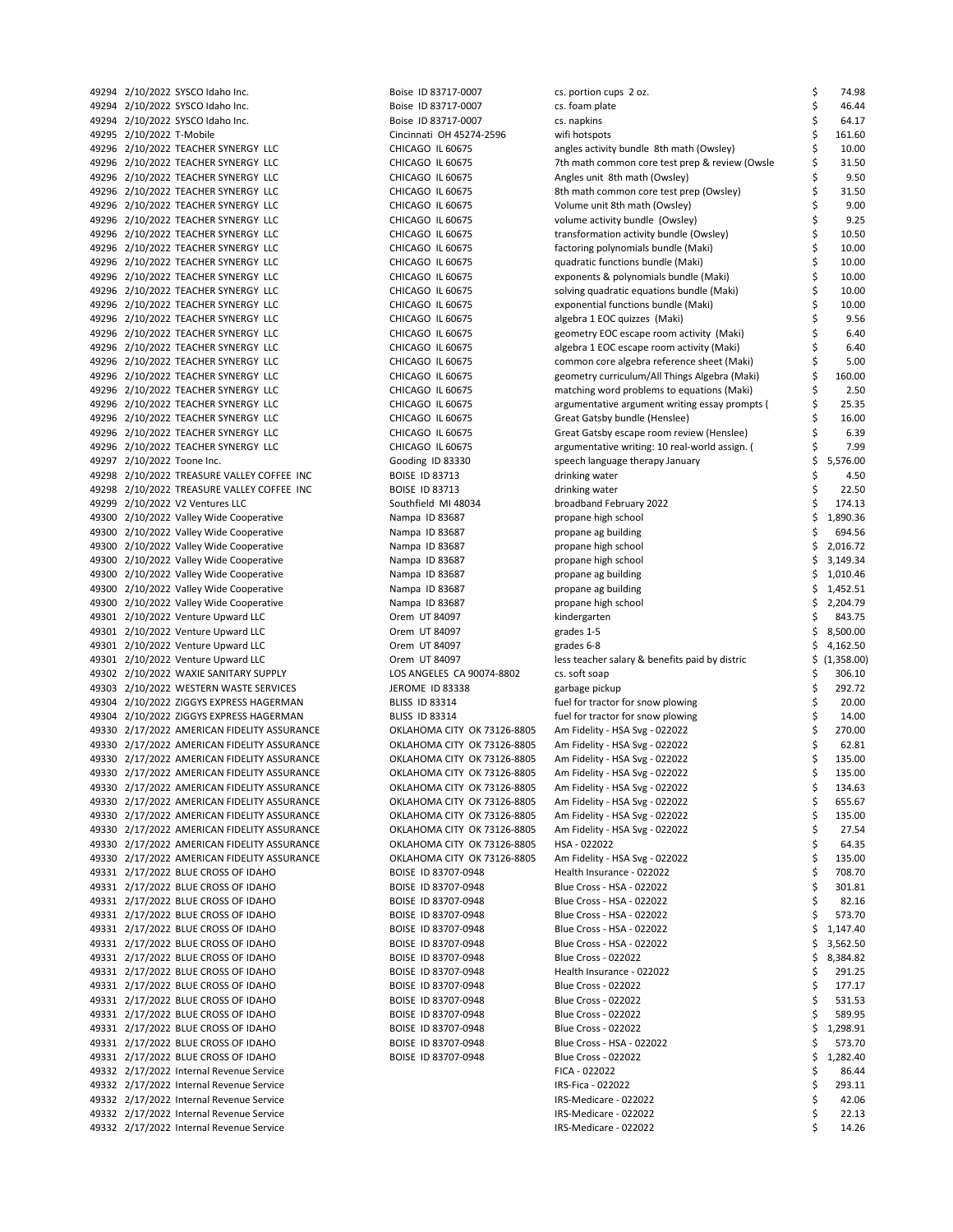| 49294 2/10/2022 SYSCO Idaho Inc.            | Boise ID 83717-0007         | cs. portion cups 2 oz.                         | \$ | 74.98           |
|---------------------------------------------|-----------------------------|------------------------------------------------|----|-----------------|
| 49294 2/10/2022 SYSCO Idaho Inc.            | Boise ID 83717-0007         | cs. foam plate                                 | \$ | 46.44           |
| 49294 2/10/2022 SYSCO Idaho Inc.            | Boise ID 83717-0007         | cs. napkins                                    | \$ | 64.17           |
| 49295 2/10/2022 T-Mobile                    | Cincinnati OH 45274-2596    | wifi hotspots                                  | \$ | 161.60          |
| 49296 2/10/2022 TEACHER SYNERGY LLC         | CHICAGO IL 60675            | angles activity bundle 8th math (Owsley)       | \$ | 10.00           |
| 49296 2/10/2022 TEACHER SYNERGY LLC         | CHICAGO IL 60675            | 7th math common core test prep & review (Owsle | \$ | 31.50           |
| 49296 2/10/2022 TEACHER SYNERGY LLC         | CHICAGO IL 60675            | Angles unit 8th math (Owsley)                  | \$ | 9.50            |
| 49296 2/10/2022 TEACHER SYNERGY LLC         | CHICAGO IL 60675            | 8th math common core test prep (Owsley)        | \$ | 31.50           |
| 49296 2/10/2022 TEACHER SYNERGY LLC         | CHICAGO IL 60675            | Volume unit 8th math (Owsley)                  | \$ | 9.00            |
| 49296 2/10/2022 TEACHER SYNERGY LLC         | CHICAGO IL 60675            | volume activity bundle (Owsley)                | \$ | 9.25            |
| 49296 2/10/2022 TEACHER SYNERGY LLC         | CHICAGO IL 60675            | transformation activity bundle (Owsley)        | \$ | 10.50           |
| 49296 2/10/2022 TEACHER SYNERGY LLC         | CHICAGO IL 60675            | factoring polynomials bundle (Maki)            | \$ | 10.00           |
| 49296 2/10/2022 TEACHER SYNERGY LLC         | CHICAGO IL 60675            | quadratic functions bundle (Maki)              | \$ | 10.00           |
| 49296 2/10/2022 TEACHER SYNERGY LLC         | CHICAGO IL 60675            | exponents & polynomials bundle (Maki)          | \$ | 10.00           |
| 49296 2/10/2022 TEACHER SYNERGY LLC         | CHICAGO IL 60675            | solving quadratic equations bundle (Maki)      | \$ | 10.00           |
| 49296 2/10/2022 TEACHER SYNERGY LLC         | CHICAGO IL 60675            | exponential functions bundle (Maki)            | \$ | 10.00           |
| 49296 2/10/2022 TEACHER SYNERGY LLC         | CHICAGO IL 60675            | algebra 1 EOC quizzes (Maki)                   | \$ | 9.56            |
| 49296 2/10/2022 TEACHER SYNERGY LLC         | CHICAGO IL 60675            | geometry EOC escape room activity (Maki)       | \$ | 6.40            |
| 49296 2/10/2022 TEACHER SYNERGY LLC         | CHICAGO IL 60675            | algebra 1 EOC escape room activity (Maki)      | \$ | 6.40            |
| 49296 2/10/2022 TEACHER SYNERGY LLC         | CHICAGO IL 60675            | common core algebra reference sheet (Maki)     | \$ | 5.00            |
| 49296 2/10/2022 TEACHER SYNERGY LLC         | CHICAGO IL 60675            | geometry curriculum/All Things Algebra (Maki)  | \$ | 160.00          |
| 49296 2/10/2022 TEACHER SYNERGY LLC         | CHICAGO IL 60675            | matching word problems to equations (Maki)     | \$ | 2.50            |
| 49296 2/10/2022 TEACHER SYNERGY LLC         | CHICAGO IL 60675            | argumentative argument writing essay prompts ( | \$ | 25.35           |
| 49296 2/10/2022 TEACHER SYNERGY LLC         | CHICAGO IL 60675            | Great Gatsby bundle (Henslee)                  | Ś  | 16.00           |
| 49296 2/10/2022 TEACHER SYNERGY LLC         | CHICAGO IL 60675            | Great Gatsby escape room review (Henslee)      | \$ | 6.39            |
| 49296 2/10/2022 TEACHER SYNERGY LLC         | CHICAGO IL 60675            | argumentative writing: 10 real-world assign. ( | \$ | 7.99            |
|                                             |                             |                                                | \$ |                 |
| 49297 2/10/2022 Toone Inc.                  | Gooding ID 83330            | speech language therapy January                |    | 5,576.00        |
| 49298 2/10/2022 TREASURE VALLEY COFFEE INC  | <b>BOISE ID 83713</b>       | drinking water                                 | \$ | 4.50            |
| 49298 2/10/2022 TREASURE VALLEY COFFEE INC  | <b>BOISE ID 83713</b>       | drinking water                                 | \$ | 22.50           |
| 49299 2/10/2022 V2 Ventures LLC             | Southfield MI 48034         | broadband February 2022                        | \$ | 174.13          |
| 49300 2/10/2022 Valley Wide Cooperative     | Nampa ID 83687              | propane high school                            | \$ | 1,890.36        |
| 49300 2/10/2022 Valley Wide Cooperative     | Nampa ID 83687              | propane ag building                            | \$ | 694.56          |
| 49300 2/10/2022 Valley Wide Cooperative     | Nampa ID 83687              | propane high school                            | \$ | 2,016.72        |
| 49300 2/10/2022 Valley Wide Cooperative     | Nampa ID 83687              | propane high school                            | \$ | 3,149.34        |
| 49300 2/10/2022 Valley Wide Cooperative     | Nampa ID 83687              | propane ag building                            | \$ | 1,010.46        |
| 49300 2/10/2022 Valley Wide Cooperative     | Nampa ID 83687              | propane ag building                            | \$ | 1,452.51        |
| 49300 2/10/2022 Valley Wide Cooperative     | Nampa ID 83687              | propane high school                            | \$ | 2,204.79        |
| 49301 2/10/2022 Venture Upward LLC          | Orem UT 84097               | kindergarten                                   | \$ | 843.75          |
| 49301 2/10/2022 Venture Upward LLC          | Orem UT 84097               | grades 1-5                                     | \$ | 8,500.00        |
| 49301 2/10/2022 Venture Upward LLC          | Orem UT 84097               | grades 6-8                                     | \$ | 4,162.50        |
| 49301 2/10/2022 Venture Upward LLC          | Orem UT 84097               | less teacher salary & benefits paid by distric | \$ | (1,358.00)      |
| 49302 2/10/2022 WAXIE SANITARY SUPPLY       | LOS ANGELES CA 90074-8802   | cs. soft soap                                  | \$ | 306.10          |
| 49303 2/10/2022 WESTERN WASTE SERVICES      | <b>JEROME ID 83338</b>      | garbage pickup                                 | \$ | 292.72          |
| 49304 2/10/2022 ZIGGYS EXPRESS HAGERMAN     | <b>BLISS ID 83314</b>       | fuel for tractor for snow plowing              | \$ | 20.00           |
| 49304 2/10/2022 ZIGGYS EXPRESS HAGERMAN     | <b>BLISS ID 83314</b>       | fuel for tractor for snow plowing              | \$ | 14.00           |
| 49330 2/17/2022 AMERICAN FIDELITY ASSURANCE | OKLAHOMA CITY OK 73126-8805 | Am Fidelity - HSA Svg - 022022                 | \$ | 270.00          |
| 49330 2/17/2022 AMERICAN FIDELITY ASSURANCE | OKLAHOMA CITY OK 73126-8805 | Am Fidelity - HSA Svg - 022022                 | \$ | 62.81           |
| 49330 2/17/2022 AMERICAN FIDELITY ASSURANCE | OKLAHOMA CITY OK 73126-8805 | Am Fidelity - HSA Svg - 022022                 | \$ | 135.00          |
| 49330 2/17/2022 AMERICAN FIDELITY ASSURANCE | OKLAHOMA CITY OK 73126-8805 | Am Fidelity - HSA Svg - 022022                 | \$ | 135.00          |
| 49330 2/17/2022 AMERICAN FIDELITY ASSURANCE | OKLAHOMA CITY OK 73126-8805 | Am Fidelity - HSA Svg - 022022                 | \$ | 134.63          |
| 49330 2/17/2022 AMERICAN FIDELITY ASSURANCE | OKLAHOMA CITY OK 73126-8805 | Am Fidelity - HSA Svg - 022022                 | \$ | 655.67          |
| 49330 2/17/2022 AMERICAN FIDELITY ASSURANCE | OKLAHOMA CITY OK 73126-8805 | Am Fidelity - HSA Svg - 022022                 | \$ | 135.00          |
| 49330 2/17/2022 AMERICAN FIDELITY ASSURANCE | OKLAHOMA CITY OK 73126-8805 | Am Fidelity - HSA Svg - 022022                 | \$ | 27.54           |
| 49330 2/17/2022 AMERICAN FIDELITY ASSURANCE | OKLAHOMA CITY OK 73126-8805 | HSA - 022022                                   | \$ | 64.35           |
| 49330 2/17/2022 AMERICAN FIDELITY ASSURANCE | OKLAHOMA CITY OK 73126-8805 | Am Fidelity - HSA Svg - 022022                 | \$ | 135.00          |
| 49331 2/17/2022 BLUE CROSS OF IDAHO         | BOISE ID 83707-0948         | Health Insurance - 022022                      | \$ | 708.70          |
| 49331 2/17/2022 BLUE CROSS OF IDAHO         | BOISE ID 83707-0948         | Blue Cross - HSA - 022022                      | \$ | 301.81          |
| 49331 2/17/2022 BLUE CROSS OF IDAHO         | BOISE ID 83707-0948         | Blue Cross - HSA - 022022                      | \$ | 82.16           |
| 49331 2/17/2022 BLUE CROSS OF IDAHO         | BOISE ID 83707-0948         | Blue Cross - HSA - 022022                      | \$ | 573.70          |
| 49331 2/17/2022 BLUE CROSS OF IDAHO         | BOISE ID 83707-0948         | Blue Cross - HSA - 022022                      | \$ | 1,147.40        |
| 49331 2/17/2022 BLUE CROSS OF IDAHO         | BOISE ID 83707-0948         | Blue Cross - HSA - 022022                      | \$ | 3,562.50        |
| 49331 2/17/2022 BLUE CROSS OF IDAHO         | BOISE ID 83707-0948         | Blue Cross - 022022                            | \$ | 8,384.82        |
| 49331 2/17/2022 BLUE CROSS OF IDAHO         | BOISE ID 83707-0948         | Health Insurance - 022022                      | \$ | 291.25          |
| 49331 2/17/2022 BLUE CROSS OF IDAHO         | BOISE ID 83707-0948         | Blue Cross - 022022                            | \$ | 177.17          |
| 49331 2/17/2022 BLUE CROSS OF IDAHO         | BOISE ID 83707-0948         | Blue Cross - 022022                            | \$ | 531.53          |
| 49331 2/17/2022 BLUE CROSS OF IDAHO         | BOISE ID 83707-0948         | Blue Cross - 022022                            | \$ | 589.95          |
| 49331 2/17/2022 BLUE CROSS OF IDAHO         | BOISE ID 83707-0948         | Blue Cross - 022022                            | \$ | 1,298.91        |
| 49331 2/17/2022 BLUE CROSS OF IDAHO         | BOISE ID 83707-0948         | Blue Cross - HSA - 022022                      | \$ | 573.70          |
| 49331 2/17/2022 BLUE CROSS OF IDAHO         | BOISE ID 83707-0948         | Blue Cross - 022022                            | \$ | 1,282.40        |
|                                             |                             |                                                |    |                 |
| 49332 2/17/2022 Internal Revenue Service    |                             | FICA - 022022                                  | \$ | 86.44           |
| 49332 2/17/2022 Internal Revenue Service    |                             | IRS-Fica - 022022                              | \$ | 293.11<br>42.06 |
| 49332 2/17/2022 Internal Revenue Service    |                             | IRS-Medicare - 022022                          |    |                 |
| 49332 2/17/2022 Internal Revenue Service    |                             | IRS-Medicare - 022022                          | Ś  | 22.13           |
| 49332 2/17/2022 Internal Revenue Service    |                             | IRS-Medicare - 022022                          |    | 14.26           |